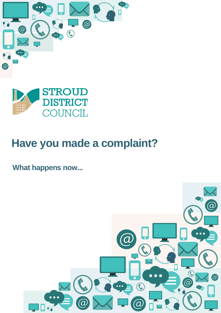



## **Have you made a complaint?**

### **What happens now...**

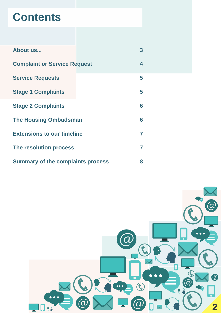

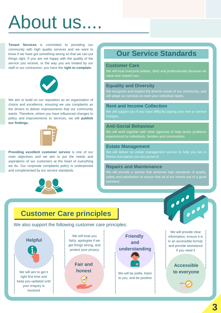**Tenant Services** is committed to providing our community with high quality services and we want to know if we have got something wrong so that we can put things right. If you are not happy with the quality of the service you receive, or the way you are treated by our staff or our contractors, you have the **right to complain**.



We aim to build on our reputation as an organisation of choice and excellence, ensuring we use complaints as the drivers to deliver improvements that our community wants. Therefore, where you have influenced changes to policy and improvements to services, we will **publish our findings.**



**Providing excellent customer service** is one of our main objectives and we aim to put the needs and aspirations of our customers at the heart of everything we do. Our corporate complaints policy is underpinned

### and complimented by our service standards.



## About us....

### **Customer Care principles**

We also support the following customer care principles:

#### **Customer Care**

We will treat everyone politely, fairly and professionally because we value and respect you.

We will treat you fairly, apologise if we get things wrong, and protect your privacy

### **Equality and Diversity**

We will be polite, listen to you, and be positive

We recognise and respect the diverse needs of our community, and will adapt our services to meet your individual needs.

### **Rent and Income Collection**

We will support you if you have difficulty paying your rent or service charges.

### **Anti-Social Behaviour**

We will work together with other agencies to help tackle problems experienced by individuals, families and communities.

#### **Estate Management**

We will deliver an estate management service to help you live in homes and places you are proud of.

### **Repairs and Maintenance**

We will provide a service that achieves high standards of quality, safety and satisfaction to ensure that all of our homes are of a good standard.

### **Our Service Standards**

**Accessible to everyone**





**Fair and**

right first time and keep you updated until your enquiry is resolved

We will provide clear information, ensure it is in an accessible format, and provide assistance if you need it

**3**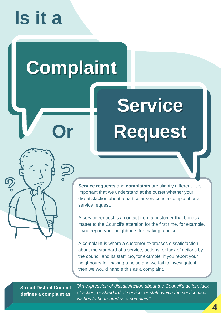*"An expression of dissatisfaction about the Council's action, lack of action, or standard of service, or staff, which the service user wishes to be treated as a complaint".*

# **Service**

**Request**



**Service requests** and **complaints** are slightly different. It is important that we understand at the outset whether your dissatisfaction about a particular service is a complaint or a service request.

A service request is a contact from a customer that brings a matter to the Council's attention for the first time, for example, if you report your neighbours for making a noise.

A complaint is where a customer expresses dissatisfaction about the standard of a service, actions, or lack of actions by the council and its staff. So, for example, if you report your neighbours for making a noise and we fail to investigate it, then we would handle this as a complaint.

## **Is it a**

### **Stroud District Council defines a complaint as**

## **Complaint**

**Or**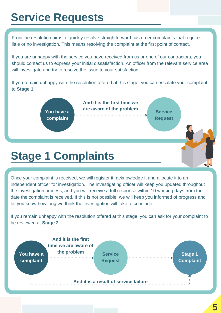Frontline resolution aims to quickly resolve straightforward customer complaints that require little or no investigation. This means resolving the complaint at the first point of contact.

If you are unhappy with the service you have received from us or one of our contractors, you should contact us to express your initial dissatisfaction. An officer from the relevant service area will investigate and try to resolve the issue to your satisfaction.

If you remain unhappy with the resolution offered at this stage, you can escalate your complaint to **Stage 1**.

Once your complaint is received, we will register it, acknowledge it and allocate it to an independent officer for investigation. The investigating officer will keep you updated throughout the investigation process, and you will receive a full response within 10 working days from the date the complaint is received. If this is not possible, we will keep you informed of progress and let you know how long we think the investigation will take to conclude.

If you remain unhappy with the resolution offered at this stage, you can ask for your complaint to be reviewed at **Stage 2**.

### **Service Requests**



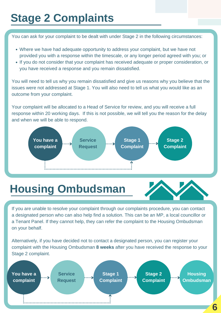- Where we have had adequate opportunity to address your complaint, but we have not provided you with a response within the timescale, or any longer period agreed with you; or
- If you do not consider that your complaint has received adequate or proper consideration, or you have received a response and you remain dissatisfied.

You can ask for your complaint to be dealt with under Stage 2 in the following circumstances:

You will need to tell us why you remain dissatisfied and give us reasons why you believe that the issues were not addressed at Stage 1. You will also need to tell us what you would like as an outcome from your complaint.

Your complaint will be allocated to a Head of Service for review, and you will receive a full response within 20 working days. If this is not possible, we will tell you the reason for the delay and when we will be able to respond.

If you are unable to resolve your complaint through our complaints procedure, you can contact a designated person who can also help find a solution. This can be an MP, a local councillor or a Tenant Panel. If they cannot help, they can refer the complaint to the Housing Ombudsman on your behalf.

Alternatively, if you have decided not to contact a designated person, you can register your complaint with the Housing Ombudsman **8 weeks** after you have received the response to your Stage 2 complaint.

## **Stage 2 Complaints**

## **Housing Ombudsman**





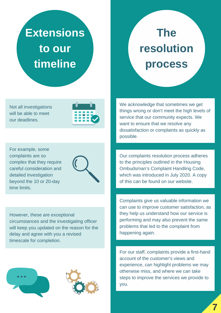For example, some complaints are so complex that they require careful consideration and detailed investigation beyond the 10 or 20-day time limits.



We acknowledge that sometimes we get things wrong or don't meet the high levels of service that our community expects. We want to ensure that we resolve any dissatisfaction or complaints as quickly as possible.

Our complaints resolution process adheres to the principles outlined in the Housing Ombudsman's Complaint Handling Code, which was introduced in July 2020. A copy of this can be found on our website.

Complaints give us valuable information we can use to improve customer satisfaction, as they help us understand how our service is performing and may also prevent the same problems that led to the complaint from happening again.

For our staff, complaints provide a first-hand account of the customer's views and experience, can highlight problems we may otherwise miss, and where we can take steps to improve the services we provide to you.





Not all investigations will be able to meet our deadlines.



However, these are exceptional circumstances and the investigating officer will keep you updated on the reason for the delay and agree with you a revised timescale for completion.



**7**